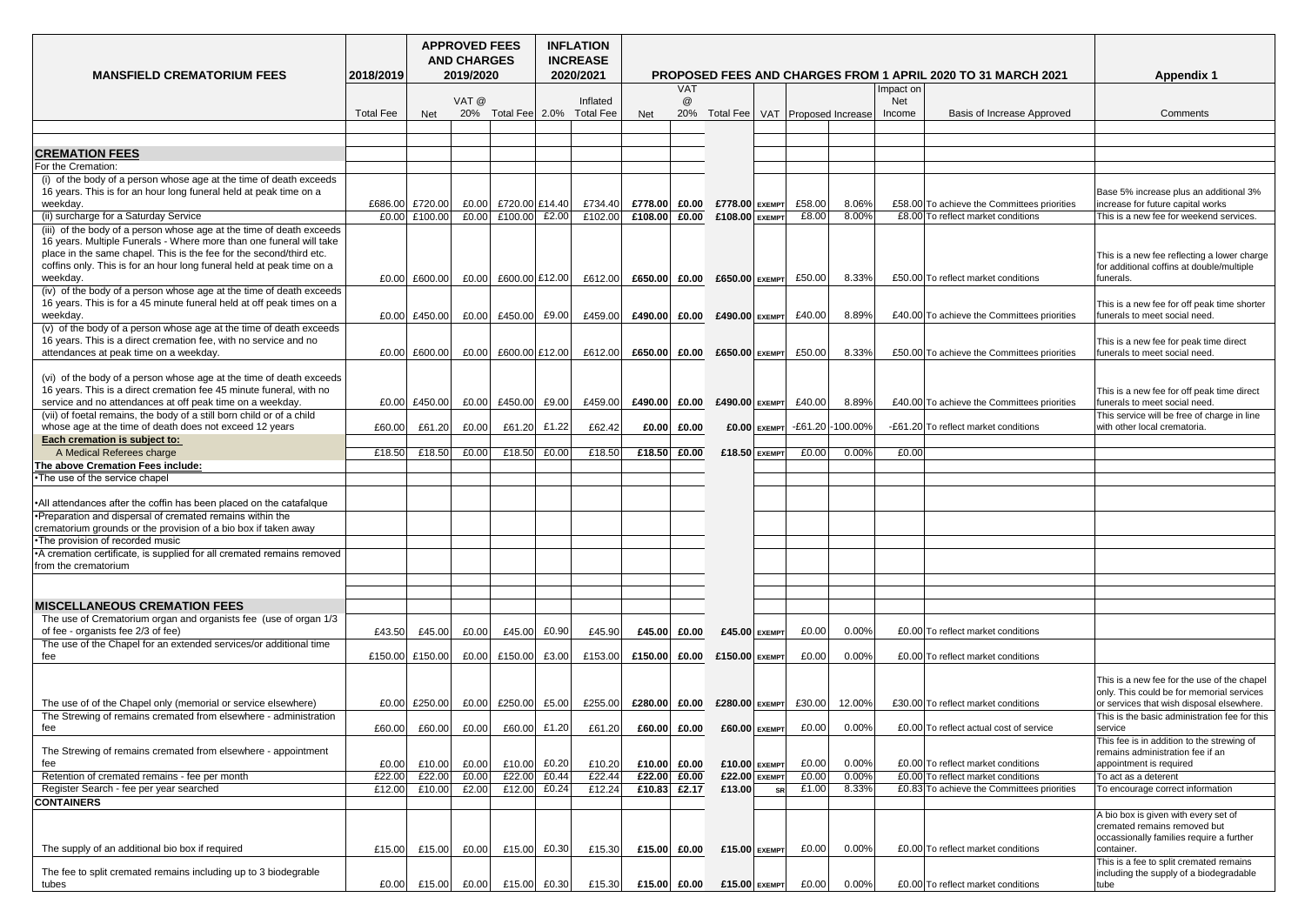| <b>MANSFIELD CREMATORIUM FEES</b>                                                                                                                                                                                                                                                                       | 2018/2019        | <b>APPROVED FEES</b><br><b>AND CHARGES</b><br>2019/2020 |       |                    |       | <b>INFLATION</b><br><b>INCREASE</b><br>2020/2021 |                                                                                   |                           |                  | <b>Appendix 1</b> |                                                       |        |            |                                             |                                                                                                                                       |
|---------------------------------------------------------------------------------------------------------------------------------------------------------------------------------------------------------------------------------------------------------------------------------------------------------|------------------|---------------------------------------------------------|-------|--------------------|-------|--------------------------------------------------|-----------------------------------------------------------------------------------|---------------------------|------------------|-------------------|-------------------------------------------------------|--------|------------|---------------------------------------------|---------------------------------------------------------------------------------------------------------------------------------------|
|                                                                                                                                                                                                                                                                                                         |                  |                                                         |       |                    |       |                                                  | <b>PROPOSED FEES AND CHARGES FROM 1 APRIL 2020 TO 31 MARCH 2021</b><br><b>VAT</b> |                           |                  |                   |                                                       |        | Impact on  |                                             |                                                                                                                                       |
|                                                                                                                                                                                                                                                                                                         |                  |                                                         | VAT @ |                    |       | Inflated                                         |                                                                                   | $^\text{\textregistered}$ |                  |                   |                                                       |        | <b>Net</b> |                                             |                                                                                                                                       |
|                                                                                                                                                                                                                                                                                                         | <b>Total Fee</b> | <b>Net</b>                                              |       | 20% Total Fee 2.0% |       | <b>Total Fee</b>                                 | <b>Net</b>                                                                        | 20%                       |                  |                   | Total Fee   VAT   Proposed Increase                   |        | Income     | <b>Basis of Increase Approved</b>           | <b>Comments</b>                                                                                                                       |
|                                                                                                                                                                                                                                                                                                         |                  |                                                         |       |                    |       |                                                  |                                                                                   |                           |                  |                   |                                                       |        |            |                                             |                                                                                                                                       |
|                                                                                                                                                                                                                                                                                                         |                  |                                                         |       |                    |       |                                                  |                                                                                   |                           |                  |                   |                                                       |        |            |                                             |                                                                                                                                       |
| <b>CREMATION FEES</b>                                                                                                                                                                                                                                                                                   |                  |                                                         |       |                    |       |                                                  |                                                                                   |                           |                  |                   |                                                       |        |            |                                             |                                                                                                                                       |
| <b>For the Cremation:</b><br>(i) of the body of a person whose age at the time of death exceeds<br>16 years. This is for an hour long funeral held at peak time on a                                                                                                                                    |                  |                                                         |       |                    |       |                                                  |                                                                                   |                           |                  |                   |                                                       |        |            |                                             | Base 5% increase plus an additional 3%                                                                                                |
| weekday.                                                                                                                                                                                                                                                                                                | £686.00          | £720.00                                                 | E0.00 | £720.00 £14.40     |       | £734.40                                          | £778.00                                                                           | £0.00                     | £778.00 EXEMPT   |                   | £58.00                                                | 8.06%  |            | £58.00 To achieve the Committees priorities | increase for future capital works                                                                                                     |
| (ii) surcharge for a Saturday Service                                                                                                                                                                                                                                                                   | £0.00            | £100.00                                                 | E0.00 | £100.00            | £2.00 | £102.00                                          | £108.00                                                                           | £0.00                     | $£108.00$ EXEMPT |                   | £8.00                                                 | 8.00%  |            | £8.00 To reflect market conditions          | This is a new fee for weekend services.                                                                                               |
| (iii) of the body of a person whose age at the time of death exceeds<br>16 years. Multiple Funerals - Where more than one funeral will take<br>place in the same chapel. This is the fee for the second/third etc.<br>coffins only. This is for an hour long funeral held at peak time on a<br>weekday. | £0.00            | £600.00                                                 | E0.00 | £600.00 £12.00     |       | £612.00                                          | £650.00                                                                           | £0.00                     | £650.00 EXEMPT   |                   | £50.00                                                | 8.33%  |            | £50.00 To reflect market conditions         | This is a new fee reflecting a lower charge<br>for additional coffins at double/multiple<br>funerals.                                 |
| (iv) of the body of a person whose age at the time of death exceeds                                                                                                                                                                                                                                     |                  |                                                         |       |                    |       |                                                  |                                                                                   |                           |                  |                   |                                                       |        |            |                                             |                                                                                                                                       |
| 16 years. This is for a 45 minute funeral held at off peak times on a<br>weekday.<br>(v) of the body of a person whose age at the time of death exceeds                                                                                                                                                 | £0.00            | £450.00                                                 | E0.00 | £450.00            | £9.00 | £459.00                                          | £490.00                                                                           | £0.00                     | £490.00 EXEMPT   |                   | £40.00                                                | 8.89%  |            | £40.00 To achieve the Committees priorities | This is a new fee for off peak time shorter<br>funerals to meet social need.                                                          |
| 16 years. This is a direct cremation fee, with no service and no<br>attendances at peak time on a weekday.                                                                                                                                                                                              | £0.00            | E600.00                                                 | E0.00 | £600.00 £12.00     |       | £612.00                                          | £650.00                                                                           | £0.00                     | £650.00 EXEMPT   |                   | £50.00                                                | 8.33%  |            | £50.00 To achieve the Committees priorities | This is a new fee for peak time direct<br>funerals to meet social need.                                                               |
| (vi) of the body of a person whose age at the time of death exceeds<br>16 years. This is a direct cremation fee 45 minute funeral, with no<br>service and no attendances at off peak time on a weekday.                                                                                                 |                  | $E0.00$ £450.00                                         |       | $E0.00$ £450.00    | £9.00 | £459.00                                          | £490.00 £0.00 £490.00 EXEMPT                                                      |                           |                  |                   | £40.00                                                | 8.89%  |            | £40.00 To achieve the Committees priorities | This is a new fee for off peak time direct<br>funerals to meet social need.                                                           |
| (vii) of foetal remains, the body of a still born child or of a child                                                                                                                                                                                                                                   |                  |                                                         |       |                    |       |                                                  |                                                                                   |                           |                  |                   |                                                       |        |            |                                             | This service will be free of charge in line                                                                                           |
| whose age at the time of death does not exceed 12 years                                                                                                                                                                                                                                                 | £60.00           | £61.20                                                  | £0.00 | £61.20             | £1.22 | £62.42                                           | £0.00                                                                             | £0.00                     |                  |                   | $\text{\pounds}0.00$ EXEMPT $\text{-E}61.20$ -100.00% |        |            | -£61.20 To reflect market conditions        | with other local crematoria.                                                                                                          |
| Each cremation is subject to:                                                                                                                                                                                                                                                                           |                  |                                                         |       |                    |       |                                                  |                                                                                   |                           |                  |                   |                                                       |        |            |                                             |                                                                                                                                       |
| A Medical Referees charge                                                                                                                                                                                                                                                                               | £18.50           | £18.50                                                  | £0.00 | £18.50             | £0.00 | £18.50                                           | £18.50                                                                            | £0.00                     |                  | £18.50 $exemrt$   | £0.00                                                 | 0.00%  | £0.00      |                                             |                                                                                                                                       |
| The above Cremation Fees include:                                                                                                                                                                                                                                                                       |                  |                                                         |       |                    |       |                                                  |                                                                                   |                           |                  |                   |                                                       |        |            |                                             |                                                                                                                                       |
| <b>-The use of the service chapel</b>                                                                                                                                                                                                                                                                   |                  |                                                         |       |                    |       |                                                  |                                                                                   |                           |                  |                   |                                                       |        |            |                                             |                                                                                                                                       |
| . All attendances after the coffin has been placed on the catafalque                                                                                                                                                                                                                                    |                  |                                                         |       |                    |       |                                                  |                                                                                   |                           |                  |                   |                                                       |        |            |                                             |                                                                                                                                       |
| •Preparation and dispersal of cremated remains within the<br>crematorium grounds or the provision of a bio box if taken away                                                                                                                                                                            |                  |                                                         |       |                    |       |                                                  |                                                                                   |                           |                  |                   |                                                       |        |            |                                             |                                                                                                                                       |
| •The provision of recorded music                                                                                                                                                                                                                                                                        |                  |                                                         |       |                    |       |                                                  |                                                                                   |                           |                  |                   |                                                       |        |            |                                             |                                                                                                                                       |
| A cremation certificate, is supplied for all cremated remains removed<br>from the crematorium                                                                                                                                                                                                           |                  |                                                         |       |                    |       |                                                  |                                                                                   |                           |                  |                   |                                                       |        |            |                                             |                                                                                                                                       |
|                                                                                                                                                                                                                                                                                                         |                  |                                                         |       |                    |       |                                                  |                                                                                   |                           |                  |                   |                                                       |        |            |                                             |                                                                                                                                       |
| <b>IMISCELLANEOUS CREMATION FEES</b>                                                                                                                                                                                                                                                                    |                  |                                                         |       |                    |       |                                                  |                                                                                   |                           |                  |                   |                                                       |        |            |                                             |                                                                                                                                       |
| The use of Crematorium organ and organists fee (use of organ 1/3                                                                                                                                                                                                                                        |                  |                                                         |       |                    |       |                                                  |                                                                                   |                           |                  |                   |                                                       |        |            |                                             |                                                                                                                                       |
| of fee - organists fee 2/3 of fee)<br>The use of the Chapel for an extended services/or additional time                                                                                                                                                                                                 | £43.50           | £45.00                                                  | £0.00 | £45.00             | £0.90 | £45.90                                           | £45.00                                                                            | £0.00                     |                  | $£45.00$ EXEMPT   | E0.00                                                 | 0.00%  |            | £0.00 To reflect market conditions          |                                                                                                                                       |
| fee                                                                                                                                                                                                                                                                                                     |                  | £150.00 £150.00                                         | E0.00 | £150.00            | £3.00 | £153.00                                          | £150.00                                                                           | £0.00                     | $£150.00$ EXEMPT |                   | E0.00                                                 | 0.00%  |            | £0.00 To reflect market conditions          |                                                                                                                                       |
| The use of of the Chapel only (memorial or service elsewhere)                                                                                                                                                                                                                                           | E0.00            | £250.00                                                 | E0.00 | £250.00            | £5.00 | £255.00                                          | £280.00                                                                           | £0.00                     | £280.00 EXEMPT   |                   | £30.00                                                | 12.00% |            | £30.00 To reflect market conditions         | This is a new fee for the use of the chapel<br>only. This could be for memorial services<br>or services that wish disposal elsewhere. |
| The Strewing of remains cremated from elsewhere - administration                                                                                                                                                                                                                                        |                  |                                                         |       |                    | £1.20 |                                                  |                                                                                   | £0.00                     |                  | £60.00 EXEMPT     | E0.00                                                 | 0.00%  |            | £0.00 To reflect actual cost of service     | This is the basic administration fee for this<br>service                                                                              |
| fee                                                                                                                                                                                                                                                                                                     | £60.00           | £60.00                                                  | £0.00 | £60.00             |       | £61.20                                           | £60.00                                                                            |                           |                  |                   |                                                       |        |            |                                             | This fee is in addition to the strewing of                                                                                            |
| The Strewing of remains cremated from elsewhere - appointment                                                                                                                                                                                                                                           | £0.00            | £10.00                                                  | £0.00 | £10.00             | £0.20 | £10.20                                           | £10.00                                                                            | £0.00                     |                  | $£10.00$ EXEMPT   | £0.00                                                 | 0.00%  |            | £0.00 To reflect market conditions          | remains administration fee if an<br>appointment is required                                                                           |
| Retention of cremated remains - fee per month                                                                                                                                                                                                                                                           | £22.00           | £22.00                                                  | £0.00 | £22.00             | £0.44 | £22.44                                           | £22.00                                                                            | £0.00                     |                  | £22.00 EXEMPT     | £0.00                                                 | 0.00%  |            | £0.00 To reflect market conditions          | To act as a deterent                                                                                                                  |
| Register Search - fee per year searched                                                                                                                                                                                                                                                                 | £12.00           | £10.00                                                  | £2.00 | £12.00             | £0.24 | £12.24                                           | £10.83                                                                            | £2.17                     | £13.00           | <b>SR</b>         | £1.00                                                 | 8.33%  |            | £0.83 To achieve the Committees priorities  | To encourage correct information                                                                                                      |
| <b>CONTAINERS</b>                                                                                                                                                                                                                                                                                       |                  |                                                         |       |                    |       |                                                  |                                                                                   |                           |                  |                   |                                                       |        |            |                                             |                                                                                                                                       |
| The supply of an additional bio box if required                                                                                                                                                                                                                                                         | £15.00           | £15.00                                                  | £0.00 | £15.00             | E0.30 | £15.30                                           | £15.00                                                                            | £0.00                     |                  | £15.00 EXEMPT     | E0.00                                                 | 0.00%  |            | £0.00 To reflect market conditions          | A bio box is given with every set of<br>cremated remains removed but<br>occassionally families require a further<br>container.        |
|                                                                                                                                                                                                                                                                                                         |                  |                                                         |       |                    |       |                                                  |                                                                                   |                           |                  |                   |                                                       |        |            |                                             | This is a fee to split cremated remains                                                                                               |
| The fee to split cremated remains including up to 3 biodegrable<br>tubes                                                                                                                                                                                                                                | £0.00            | £15.00                                                  | £0.00 | £15.00             | E0.30 | £15.30                                           | £15.00                                                                            | £0.00                     |                  | $£15.00$ EXEMPT   | E0.00                                                 | 0.00%  |            | £0.00 To reflect market conditions          | including the supply of a biodegradable<br>tube                                                                                       |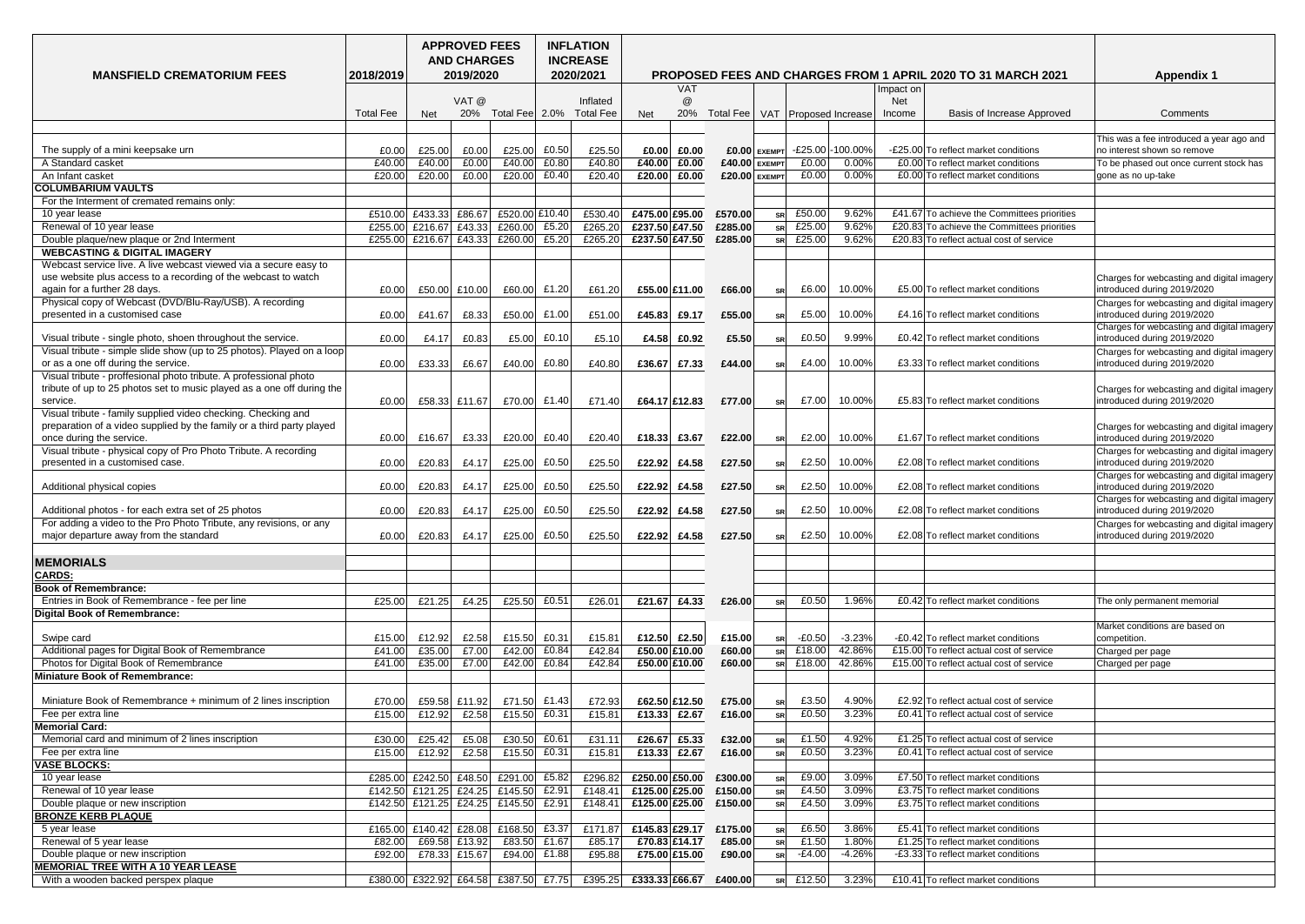|                                                                                                                                             | <b>MANSFIELD CREMATORIUM FEES</b><br>2018/2019 |                                      |               |                |              | <b>INFLATION</b><br><b>INCREASE</b><br>2020/2021 |                   |           | <b>Appendix 1</b> |                |                         |           |                                                                          |                                                                           |
|---------------------------------------------------------------------------------------------------------------------------------------------|------------------------------------------------|--------------------------------------|---------------|----------------|--------------|--------------------------------------------------|-------------------|-----------|-------------------|----------------|-------------------------|-----------|--------------------------------------------------------------------------|---------------------------------------------------------------------------|
|                                                                                                                                             |                                                |                                      | 2019/2020     |                |              |                                                  | VAT               |           |                   |                |                         | Impact on | <b>PROPOSED FEES AND CHARGES FROM 1 APRIL 2020 TO 31 MARCH 2021</b>      |                                                                           |
|                                                                                                                                             |                                                |                                      | VAT @         |                |              | Inflated                                         | @                 |           |                   |                |                         | Net       |                                                                          |                                                                           |
|                                                                                                                                             | <b>Total Fee</b>                               | <b>Net</b>                           | 20%           | Total Fee 2.0% |              | <b>Total Fee</b>                                 | 20%<br><b>Net</b> | Total Fee |                   |                | VAT   Proposed Increase | Income    | <b>Basis of Increase Approved</b>                                        | Comments                                                                  |
|                                                                                                                                             |                                                |                                      |               |                |              |                                                  |                   |           |                   |                |                         |           |                                                                          |                                                                           |
|                                                                                                                                             |                                                |                                      |               |                |              |                                                  |                   |           |                   |                |                         |           |                                                                          | This was a fee introduced a year ago and                                  |
| The supply of a mini keepsake urn                                                                                                           | £0.0                                           | £25.00                               | £0.00         | £25.00         | £0.50        | £25.50                                           | £0.00<br>£0.00    |           | $£0.00$ EXEMPT    |                | E25.00 - 100.00%        |           | -£25.00 To reflect market conditions                                     | no interest shown so remove                                               |
| A Standard casket                                                                                                                           | £40.0                                          | £40.00                               | £0.00         | £40.00         | E0.80        | £40.80                                           | £40.00<br>£0.00   |           | £40.00 EXEMPT     | £0.00          | 0.00%                   |           | £0.00 To reflect market conditions                                       | To be phased out once current stock has                                   |
| An Infant casket                                                                                                                            | £20.0                                          | £20.00                               | £0.00         | £20.00         | E0.40        | £20.40                                           | £0.00<br>£20.00   |           | £20.00 EXEMPT     | E0.00          | 0.00%                   |           | £0.00 To reflect market conditions                                       | gone as no up-take                                                        |
| <b>COLUMBARIUM VAULTS</b>                                                                                                                   |                                                |                                      |               |                |              |                                                  |                   |           |                   |                |                         |           |                                                                          |                                                                           |
| For the Interment of cremated remains only:<br>10 year lease                                                                                | £510.00                                        | £433.33 £86.67                       |               | £520.00 £10.40 |              | £530.40                                          | £475.00 £95.00    | £570.00   |                   | £50.00         | 9.62%                   |           | £41.67 To achieve the Committees priorities                              |                                                                           |
| Renewal of 10 year lease                                                                                                                    | £255.00                                        | £216.67 £43.33                       |               | £260.00        | £5.20        | £265.20                                          | £237.50 £47.50    | £285.00   |                   | £25.00         | 9.62%                   |           | £20.83 To achieve the Committees priorities                              |                                                                           |
| Double plaque/new plaque or 2nd Interment                                                                                                   | £255.00                                        | £216.67 £43.33                       |               | £260.00        | £5.20        | £265.20                                          | £237.50 £47.50    | £285.00   |                   | £25.00         | 9.62%                   |           | £20.83 To reflect actual cost of service                                 |                                                                           |
| <b>WEBCASTING &amp; DIGITAL IMAGERY</b>                                                                                                     |                                                |                                      |               |                |              |                                                  |                   |           |                   |                |                         |           |                                                                          |                                                                           |
| Webcast service live. A live webcast viewed via a secure easy to                                                                            |                                                |                                      |               |                |              |                                                  |                   |           |                   |                |                         |           |                                                                          |                                                                           |
| use website plus access to a recording of the webcast to watch                                                                              |                                                |                                      |               |                |              |                                                  |                   |           |                   |                |                         |           |                                                                          | Charges for webcasting and digital imagery                                |
| again for a further 28 days.                                                                                                                | £0.00                                          | £50.00 £10.00                        |               | £60.00         | £1.20        | £61.20                                           | £55.00 £11.00     | £66.00    | <b>SRI</b>        | E6.00          | 10.00%                  |           | £5.00 To reflect market conditions                                       | introduced during 2019/2020                                               |
| Physical copy of Webcast (DVD/Blu-Ray/USB). A recording                                                                                     |                                                |                                      |               |                |              |                                                  |                   |           |                   |                |                         |           |                                                                          | Charges for webcasting and digital imagery                                |
| presented in a customised case                                                                                                              | £0.00                                          | £41.67                               | £8.33         | £50.00         | £1.00        | £51.00                                           | £45.83<br>£9.17   | £55.00    | <b>SR</b>         | £5.00          | 10.00%                  |           | £4.16 To reflect market conditions                                       | introduced during 2019/2020                                               |
|                                                                                                                                             |                                                |                                      |               |                |              |                                                  |                   |           |                   |                |                         |           |                                                                          | Charges for webcasting and digital imagery                                |
| Visual tribute - single photo, shoen throughout the service.                                                                                | £0.00                                          | £4.17                                | E0.83         | £5.00          | E0.10        | £5.10                                            | £4.58<br>£0.92    | £5.50     |                   | £0.50          | 9.99%                   |           | £0.42 To reflect market conditions                                       | introduced during 2019/2020                                               |
| Visual tribute - simple slide show (up to 25 photos). Played on a loop                                                                      |                                                |                                      |               |                |              |                                                  |                   |           |                   |                |                         |           |                                                                          | Charges for webcasting and digital imagery                                |
| or as a one off during the service.                                                                                                         | £0.00                                          | £33.33                               | £6.67         | £40.00         | E0.80        | £40.80                                           | £36.67<br>£7.33   | £44.00    | <b>SRI</b>        | £4.00          | 10.00%                  |           | £3.33 To reflect market conditions                                       | introduced during 2019/2020                                               |
| Visual tribute - proffesional photo tribute. A professional photo<br>tribute of up to 25 photos set to music played as a one off during the |                                                |                                      |               |                |              |                                                  |                   |           |                   |                |                         |           |                                                                          |                                                                           |
| service.                                                                                                                                    | £0.00                                          |                                      | £58.33 £11.67 |                | £70.00 £1.40 | £71.40                                           | £64.17 £12.83     | £77.00    |                   | £7.00          | 10.00%                  |           | £5.83 To reflect market conditions                                       | Charges for webcasting and digital imagery<br>introduced during 2019/2020 |
| Visual tribute - family supplied video checking. Checking and                                                                               |                                                |                                      |               |                |              |                                                  |                   |           |                   |                |                         |           |                                                                          |                                                                           |
| preparation of a video supplied by the family or a third party played                                                                       |                                                |                                      |               |                |              |                                                  |                   |           |                   |                |                         |           |                                                                          | Charges for webcasting and digital imagery                                |
| once during the service.                                                                                                                    | £0.00                                          | £16.67                               | E3.33         | £20.00         | £0.40        | £20.40                                           | £18.33 £3.67      | £22.00    | <b>SRI</b>        | £2.00          | 10.00%                  |           | £1.67 To reflect market conditions                                       | introduced during 2019/2020                                               |
| Visual tribute - physical copy of Pro Photo Tribute. A recording                                                                            |                                                |                                      |               |                |              |                                                  |                   |           |                   |                |                         |           |                                                                          | Charges for webcasting and digital imagery                                |
| presented in a customised case.                                                                                                             | £0.00                                          | £20.83                               | £4.17         | £25.00         | £0.50        | £25.50                                           | £22.92 £4.58      | £27.50    | <b>SRI</b>        | £2.50          | 10.00%                  |           | £2.08 To reflect market conditions                                       | introduced during 2019/2020                                               |
|                                                                                                                                             |                                                |                                      |               |                |              |                                                  |                   |           |                   |                |                         |           |                                                                          | Charges for webcasting and digital imagery                                |
| Additional physical copies                                                                                                                  | £0.00                                          | £20.83                               | £4.17         | £25.00         | £0.50        | £25.50                                           | £22.92 £4.58      | £27.50    | <b>SRI</b>        | £2.50          | 10.00%                  |           | £2.08 To reflect market conditions                                       | introduced during 2019/2020                                               |
|                                                                                                                                             |                                                |                                      |               |                |              |                                                  |                   |           |                   |                |                         |           |                                                                          | Charges for webcasting and digital imagery                                |
| Additional photos - for each extra set of 25 photos                                                                                         | £0.00                                          | £20.83                               | £4.17         | £25.00         | E0.50        | £25.50                                           | £22.92<br>£4.58   | £27.50    | <b>SRI</b>        | £2.50          | 10.00%                  |           | £2.08 To reflect market conditions                                       | introduced during 2019/2020                                               |
| For adding a video to the Pro Photo Tribute, any revisions, or any<br>major departure away from the standard                                | £0.00                                          | £20.83                               | £4.17         | £25.00         | E0.50        | £25.50                                           | £22.92 £4.58      | £27.50    |                   | £2.50          | 10.00%                  |           | £2.08 To reflect market conditions                                       | Charges for webcasting and digital imagery<br>introduced during 2019/2020 |
|                                                                                                                                             |                                                |                                      |               |                |              |                                                  |                   |           | <b>SRI</b>        |                |                         |           |                                                                          |                                                                           |
| <b>MEMORIALS</b>                                                                                                                            |                                                |                                      |               |                |              |                                                  |                   |           |                   |                |                         |           |                                                                          |                                                                           |
| <b>CARDS:</b>                                                                                                                               |                                                |                                      |               |                |              |                                                  |                   |           |                   |                |                         |           |                                                                          |                                                                           |
| <b>Book of Remembrance:</b>                                                                                                                 |                                                |                                      |               |                |              |                                                  |                   |           |                   |                |                         |           |                                                                          |                                                                           |
| Entries in Book of Remembrance - fee per line                                                                                               | £25.00                                         | £21.25                               | £4.25         | £25.50         | £0.51        | £26.01                                           | £21.67<br>£4.33   | £26.00    |                   | £0.50          | 1.96%                   |           | £0.42 To reflect market conditions                                       | The only permanent memorial                                               |
| Digital Book of Remembrance:                                                                                                                |                                                |                                      |               |                |              |                                                  |                   |           |                   |                |                         |           |                                                                          |                                                                           |
|                                                                                                                                             |                                                |                                      |               |                |              |                                                  |                   |           |                   |                |                         |           |                                                                          | Market conditions are based on                                            |
| Swipe card                                                                                                                                  | £15.00                                         | £12.92                               | £2.58         | £15.50         | £0.31        | £15.8                                            | £12.50<br>£2.50   | £15.00    |                   | $-E0.50$       | $-3.23%$                |           | -£0.42 To reflect market conditions                                      | competition.                                                              |
| Additional pages for Digital Book of Remembrance                                                                                            | £41.0                                          | £35.00                               | £7.00         | £42.00         | E0.84        | £42.84                                           | £50.00 £10.00     | £60.00    |                   | £18.00         | 42.86%                  |           | £15.00 To reflect actual cost of service                                 | Charged per page                                                          |
| Photos for Digital Book of Remembrance                                                                                                      | £41.00                                         | £35.00                               | £7.00         | £42.00         | £0.84        | £42.84                                           | £50.00 £10.00     | £60.00    |                   | £18.00         | 42.86%                  |           | £15.00 To reflect actual cost of service                                 | Charged per page                                                          |
| <b>Miniature Book of Remembrance:</b>                                                                                                       |                                                |                                      |               |                |              |                                                  |                   |           |                   |                |                         |           |                                                                          |                                                                           |
|                                                                                                                                             |                                                |                                      |               |                |              |                                                  |                   |           |                   |                |                         |           |                                                                          |                                                                           |
| Miniature Book of Remembrance + minimum of 2 lines inscription                                                                              | £70.0                                          | £59.58 £11.92                        |               | £71.50         | £1.43        | £72.93                                           | £62.50 £12.50     | £75.00    |                   | £3.50          | 4.90%                   |           | £2.92 To reflect actual cost of service                                  |                                                                           |
| Fee per extra line                                                                                                                          | £15.00                                         | £12.92                               | £2.58         | £15.50         | £0.31        | £15.8                                            | £13.33 £2.67      | £16.00    |                   | E0.50          | 3.23%                   |           | £0.41 To reflect actual cost of service                                  |                                                                           |
| <b>Memorial Card:</b>                                                                                                                       |                                                |                                      |               |                |              |                                                  |                   |           |                   |                |                         |           |                                                                          |                                                                           |
| Memorial card and minimum of 2 lines inscription                                                                                            | £30.00                                         | £25.42                               | £5.08         | £30.50         | £0.61        | £31.11                                           | £26.67<br>£5.33   | £32.00    |                   | £1.50          | 4.92%                   |           | £1.25 To reflect actual cost of service                                  |                                                                           |
| Fee per extra line                                                                                                                          | £15.00                                         | £12.92                               | £2.58         | £15.50         | £0.31        | £15.8                                            | £2.67<br>£13.33   | £16.00    |                   | £0.50          | 3.23%                   |           | £0.41 To reflect actual cost of service                                  |                                                                           |
| <b>VASE BLOCKS:</b>                                                                                                                         |                                                |                                      |               |                |              |                                                  | £250.00 £50.00    |           |                   |                | 3.09%                   |           |                                                                          |                                                                           |
| 10 year lease                                                                                                                               |                                                | £285.00 £242.50 £48.50               |               | £291.00        | £5.82        | £296.82                                          |                   | £300.00   |                   | £ $9.00$       |                         |           | £7.50 To reflect market conditions                                       |                                                                           |
| Renewal of 10 year lease<br>Double plaque or new inscription                                                                                |                                                | £142.50 £121.25 £24.25 £145.50       |               |                | £2.91        | £148.41                                          | £125.00 £25.00    | £150.00   | <b>SR</b>         | £4.50<br>£4.50 | 3.09%<br>3.09%          |           | £3.75 To reflect market conditions<br>£3.75 To reflect market conditions |                                                                           |
| <b>BRONZE KERB PLAQUE</b>                                                                                                                   |                                                | £142.50 £121.25 £24.25 £145.50 £2.91 |               |                |              | £148.41                                          | £125.00 £25.00    | £150.00   | <b>SRI</b>        |                |                         |           |                                                                          |                                                                           |
| 5 year lease                                                                                                                                | £165.00                                        | £140.42 £28.08                       |               | £168.50 £3.37  |              | £171.87                                          | £145.83 £29.17    | £175.00   |                   | £6.50          | 3.86%                   |           | £5.41 To reflect market conditions                                       |                                                                           |
| Renewal of 5 year lease                                                                                                                     | £82.00                                         |                                      | £69.58 £13.92 | £83.50         | £1.67        | £85.17                                           | £70.83 £14.17     | £85.00    |                   | £1.50          | 1.80%                   |           | £1.25 To reflect market conditions                                       |                                                                           |
| Double plaque or new inscription                                                                                                            | £92.00                                         |                                      | £78.33 £15.67 | £94.00         | £1.88 $ $    | £95.88                                           | £75.00 £15.00     | £90.00    |                   | $-E4.00$       | $-4.26%$                |           | -£3.33 To reflect market conditions                                      |                                                                           |
| <b>MEMORIAL TREE WITH A 10 YEAR LEASE</b>                                                                                                   |                                                |                                      |               |                |              |                                                  |                   |           |                   |                |                         |           |                                                                          |                                                                           |
| With a wooden backed perspex plaque                                                                                                         |                                                | £380.00 £322.92 £64.58 £387.50 £7.75 |               |                |              | £395.25                                          | £333.33 £66.67    | £400.00   | <b>SR</b>         | £12.50 $ $     | 3.23%                   |           | £10.41 To reflect market conditions                                      |                                                                           |